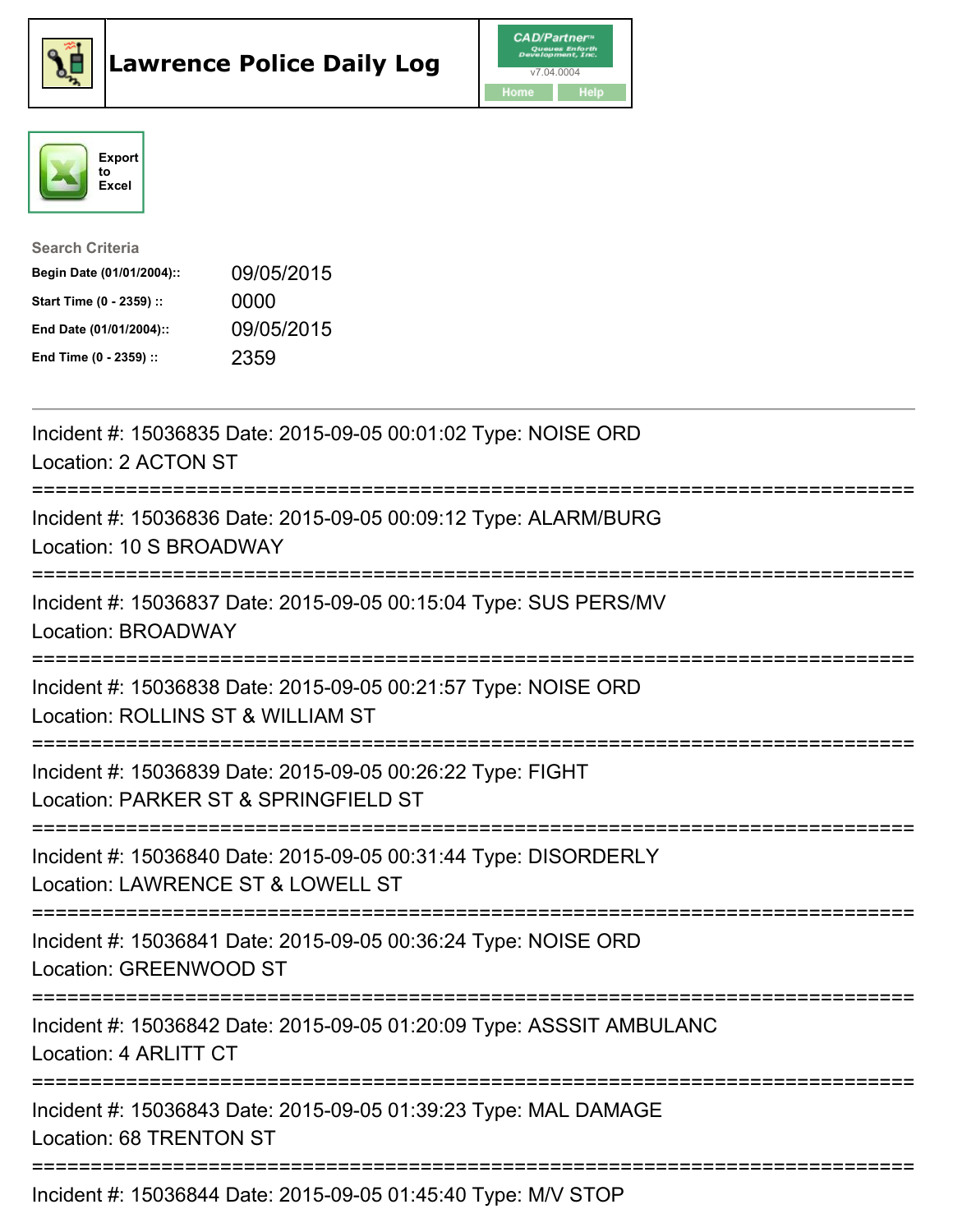





| <b>Search Criteria</b>    |            |
|---------------------------|------------|
| Begin Date (01/01/2004):: | 09/05/2015 |
| Start Time (0 - 2359) ::  | 0000       |
| End Date (01/01/2004)::   | 09/05/2015 |
| End Time (0 - 2359) ::    | 2359       |

| Incident #: 15036835 Date: 2015-09-05 00:01:02 Type: NOISE ORD<br>Location: 2 ACTON ST                                                         |
|------------------------------------------------------------------------------------------------------------------------------------------------|
| Incident #: 15036836 Date: 2015-09-05 00:09:12 Type: ALARM/BURG<br>Location: 10 S BROADWAY<br>--------------                                   |
| Incident #: 15036837 Date: 2015-09-05 00:15:04 Type: SUS PERS/MV<br><b>Location: BROADWAY</b><br>---------------                               |
| Incident #: 15036838 Date: 2015-09-05 00:21:57 Type: NOISE ORD<br>Location: ROLLINS ST & WILLIAM ST<br>.------------------------<br>---------- |
| Incident #: 15036839 Date: 2015-09-05 00:26:22 Type: FIGHT<br>Location: PARKER ST & SPRINGFIELD ST                                             |
| Incident #: 15036840 Date: 2015-09-05 00:31:44 Type: DISORDERLY<br>Location: LAWRENCE ST & LOWELL ST<br>=========================              |
| Incident #: 15036841 Date: 2015-09-05 00:36:24 Type: NOISE ORD<br>Location: GREENWOOD ST                                                       |
| Incident #: 15036842 Date: 2015-09-05 01:20:09 Type: ASSSIT AMBULANC<br>Location: 4 ARLITT CT                                                  |
| Incident #: 15036843 Date: 2015-09-05 01:39:23 Type: MAL DAMAGE<br>Location: 68 TRENTON ST                                                     |
| Incident #: 15036844 Date: 2015-09-05 01:45:40 Type: M/V STOP                                                                                  |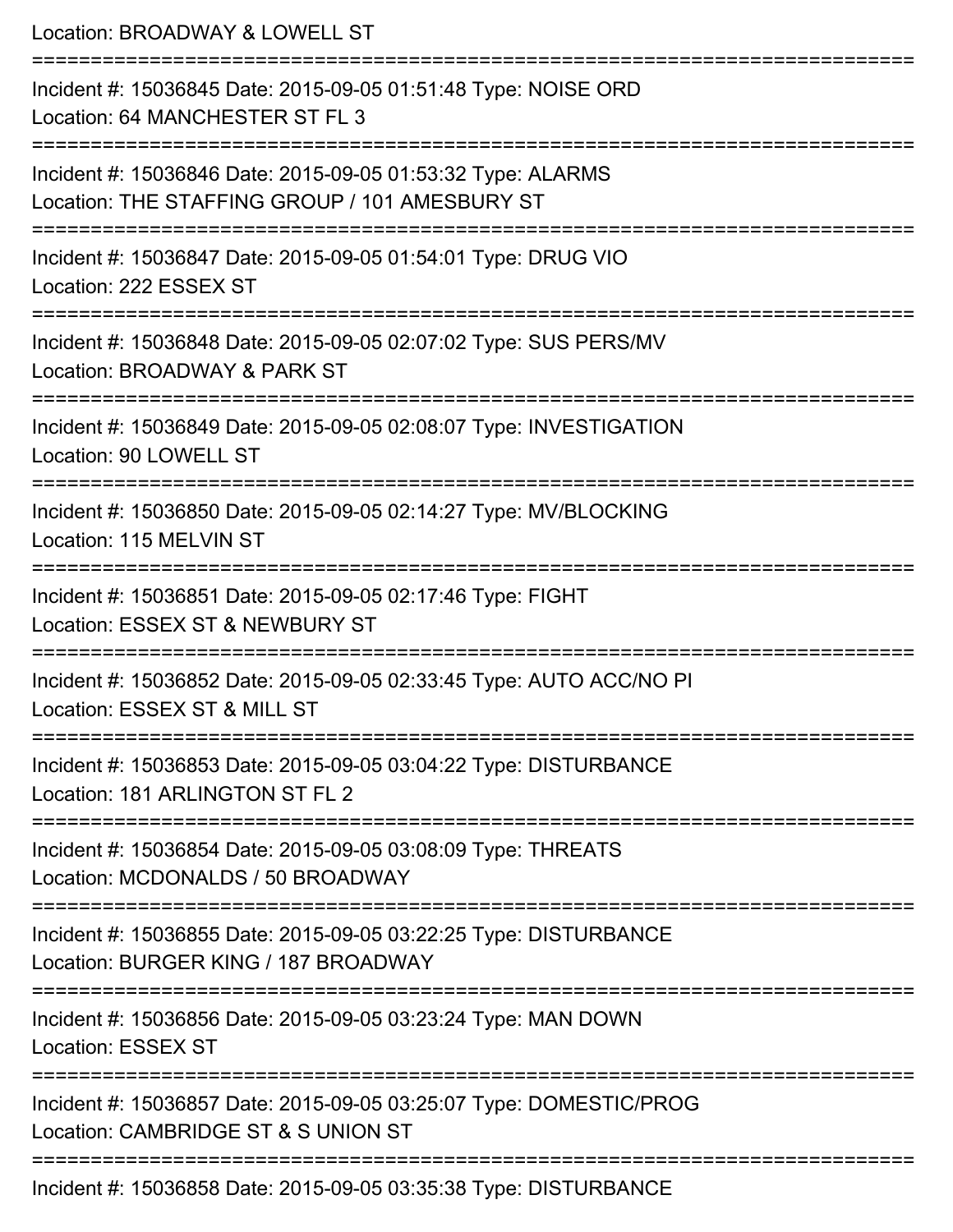Location: BROADWAY & LOWELL ST =========================================================================== Incident #: 15036845 Date: 2015-09-05 01:51:48 Type: NOISE ORD Location: 64 MANCHESTER ST FL 3 =========================================================================== Incident #: 15036846 Date: 2015-09-05 01:53:32 Type: ALARMS Location: THE STAFFING GROUP / 101 AMESBURY ST =========================================================================== Incident #: 15036847 Date: 2015-09-05 01:54:01 Type: DRUG VIO Location: 222 ESSEX ST =========================================================================== Incident #: 15036848 Date: 2015-09-05 02:07:02 Type: SUS PERS/MV Location: BROADWAY & PARK ST =========================================================================== Incident #: 15036849 Date: 2015-09-05 02:08:07 Type: INVESTIGATION Location: 90 LOWELL ST =========================================================================== Incident #: 15036850 Date: 2015-09-05 02:14:27 Type: MV/BLOCKING Location: 115 MELVIN ST =========================================================================== Incident #: 15036851 Date: 2015-09-05 02:17:46 Type: FIGHT Location: ESSEX ST & NEWBURY ST =========================================================================== Incident #: 15036852 Date: 2015-09-05 02:33:45 Type: AUTO ACC/NO PI Location: ESSEX ST & MILL ST =========================================================================== Incident #: 15036853 Date: 2015-09-05 03:04:22 Type: DISTURBANCE Location: 181 ARLINGTON ST FL 2 =========================================================================== Incident #: 15036854 Date: 2015-09-05 03:08:09 Type: THREATS Location: MCDONALDS / 50 BROADWAY =========================================================================== Incident #: 15036855 Date: 2015-09-05 03:22:25 Type: DISTURBANCE Location: BURGER KING / 187 BROADWAY =========================================================================== Incident #: 15036856 Date: 2015-09-05 03:23:24 Type: MAN DOWN Location: ESSEX ST =========================================================================== Incident #: 15036857 Date: 2015-09-05 03:25:07 Type: DOMESTIC/PROG Location: CAMBRIDGE ST & S UNION ST =========================================================================== Incident #: 15036858 Date: 2015-09-05 03:35:38 Type: DISTURBANCE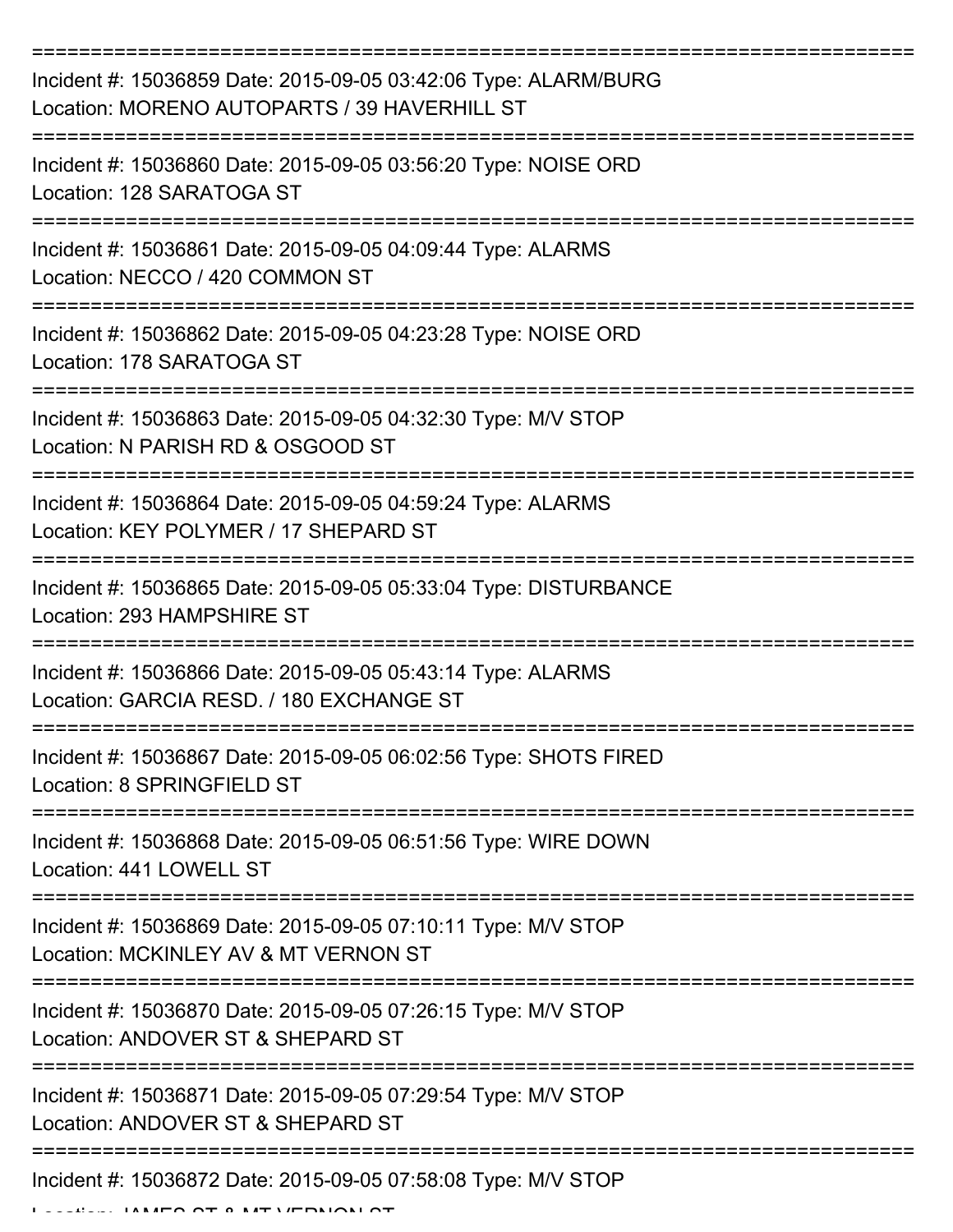| Incident #: 15036859 Date: 2015-09-05 03:42:06 Type: ALARM/BURG<br>Location: MORENO AUTOPARTS / 39 HAVERHILL ST |
|-----------------------------------------------------------------------------------------------------------------|
| Incident #: 15036860 Date: 2015-09-05 03:56:20 Type: NOISE ORD<br>Location: 128 SARATOGA ST                     |
| Incident #: 15036861 Date: 2015-09-05 04:09:44 Type: ALARMS<br>Location: NECCO / 420 COMMON ST                  |
| Incident #: 15036862 Date: 2015-09-05 04:23:28 Type: NOISE ORD<br>Location: 178 SARATOGA ST                     |
| Incident #: 15036863 Date: 2015-09-05 04:32:30 Type: M/V STOP<br>Location: N PARISH RD & OSGOOD ST              |
| Incident #: 15036864 Date: 2015-09-05 04:59:24 Type: ALARMS<br>Location: KEY POLYMER / 17 SHEPARD ST            |
| Incident #: 15036865 Date: 2015-09-05 05:33:04 Type: DISTURBANCE<br>Location: 293 HAMPSHIRE ST                  |
| Incident #: 15036866 Date: 2015-09-05 05:43:14 Type: ALARMS<br>Location: GARCIA RESD. / 180 EXCHANGE ST         |
| Incident #: 15036867 Date: 2015-09-05 06:02:56 Type: SHOTS FIRED<br>Location: 8 SPRINGFIELD ST                  |
| Incident #: 15036868 Date: 2015-09-05 06:51:56 Type: WIRE DOWN<br>Location: 441 LOWELL ST                       |
| Incident #: 15036869 Date: 2015-09-05 07:10:11 Type: M/V STOP<br>Location: MCKINLEY AV & MT VERNON ST           |
| Incident #: 15036870 Date: 2015-09-05 07:26:15 Type: M/V STOP<br>Location: ANDOVER ST & SHEPARD ST              |
| Incident #: 15036871 Date: 2015-09-05 07:29:54 Type: M/V STOP<br>Location: ANDOVER ST & SHEPARD ST              |
| Incident #: 15036872 Date: 2015-09-05 07:58:08 Type: M/V STOP                                                   |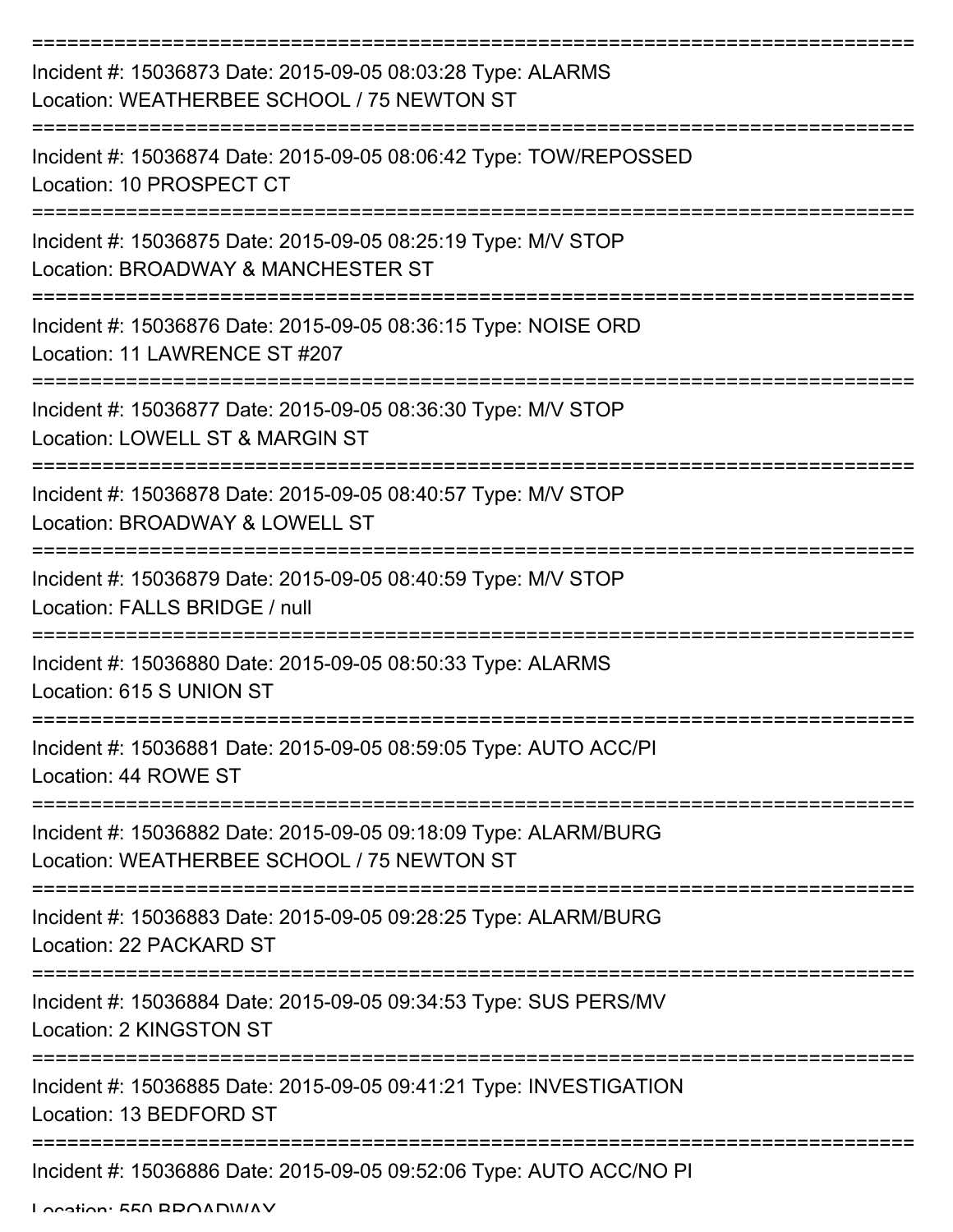| Incident #: 15036873 Date: 2015-09-05 08:03:28 Type: ALARMS<br>Location: WEATHERBEE SCHOOL / 75 NEWTON ST               |
|-------------------------------------------------------------------------------------------------------------------------|
| Incident #: 15036874 Date: 2015-09-05 08:06:42 Type: TOW/REPOSSED<br>Location: 10 PROSPECT CT                           |
| Incident #: 15036875 Date: 2015-09-05 08:25:19 Type: M/V STOP<br>Location: BROADWAY & MANCHESTER ST                     |
| Incident #: 15036876 Date: 2015-09-05 08:36:15 Type: NOISE ORD<br>Location: 11 LAWRENCE ST #207                         |
| Incident #: 15036877 Date: 2015-09-05 08:36:30 Type: M/V STOP<br>Location: LOWELL ST & MARGIN ST                        |
| Incident #: 15036878 Date: 2015-09-05 08:40:57 Type: M/V STOP<br>Location: BROADWAY & LOWELL ST                         |
| Incident #: 15036879 Date: 2015-09-05 08:40:59 Type: M/V STOP<br>Location: FALLS BRIDGE / null                          |
| Incident #: 15036880 Date: 2015-09-05 08:50:33 Type: ALARMS<br>Location: 615 S UNION ST                                 |
| Incident #: 15036881 Date: 2015-09-05 08:59:05 Type: AUTO ACC/PI<br>Location: 44 ROWE ST                                |
| Incident #: 15036882 Date: 2015-09-05 09:18:09 Type: ALARM/BURG<br>Location: WEATHERBEE SCHOOL / 75 NEWTON ST           |
| Incident #: 15036883 Date: 2015-09-05 09:28:25 Type: ALARM/BURG<br>Location: 22 PACKARD ST<br>========================= |
| Incident #: 15036884 Date: 2015-09-05 09:34:53 Type: SUS PERS/MV<br>Location: 2 KINGSTON ST                             |
| Incident #: 15036885 Date: 2015-09-05 09:41:21 Type: INVESTIGATION<br>Location: 13 BEDFORD ST                           |
| Incident #: 15036886 Date: 2015-09-05 09:52:06 Type: AUTO ACC/NO PI                                                     |

Location: 550 BBOADWAY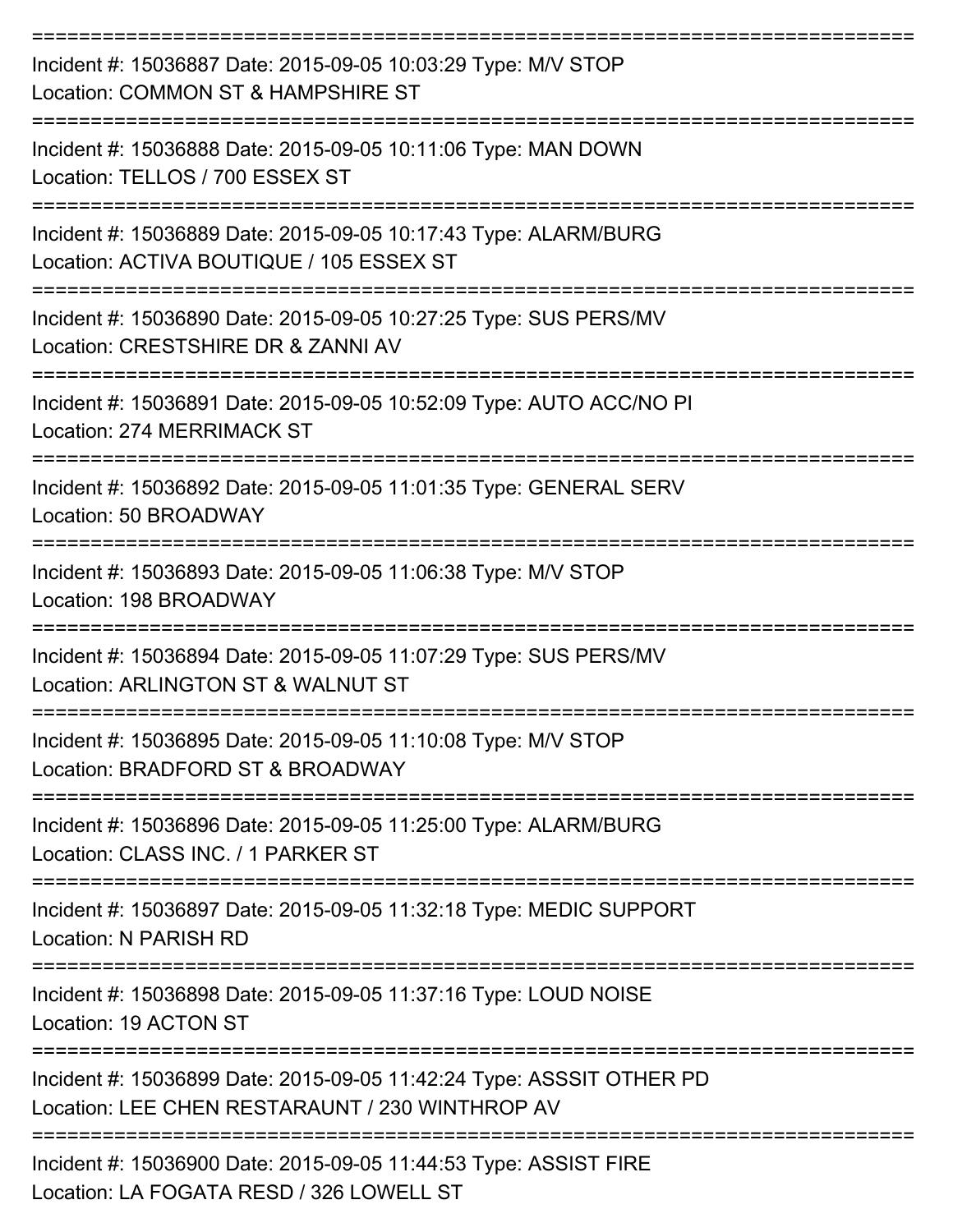| Incident #: 15036887 Date: 2015-09-05 10:03:29 Type: M/V STOP<br>Location: COMMON ST & HAMPSHIRE ST                     |
|-------------------------------------------------------------------------------------------------------------------------|
| Incident #: 15036888 Date: 2015-09-05 10:11:06 Type: MAN DOWN<br>Location: TELLOS / 700 ESSEX ST                        |
| Incident #: 15036889 Date: 2015-09-05 10:17:43 Type: ALARM/BURG<br>Location: ACTIVA BOUTIQUE / 105 ESSEX ST             |
| Incident #: 15036890 Date: 2015-09-05 10:27:25 Type: SUS PERS/MV<br>Location: CRESTSHIRE DR & ZANNI AV                  |
| Incident #: 15036891 Date: 2015-09-05 10:52:09 Type: AUTO ACC/NO PI<br>Location: 274 MERRIMACK ST                       |
| Incident #: 15036892 Date: 2015-09-05 11:01:35 Type: GENERAL SERV<br>Location: 50 BROADWAY                              |
| Incident #: 15036893 Date: 2015-09-05 11:06:38 Type: M/V STOP<br>Location: 198 BROADWAY                                 |
| Incident #: 15036894 Date: 2015-09-05 11:07:29 Type: SUS PERS/MV<br>Location: ARLINGTON ST & WALNUT ST                  |
| Incident #: 15036895 Date: 2015-09-05 11:10:08 Type: M/V STOP<br>Location: BRADFORD ST & BROADWAY                       |
| Incident #: 15036896 Date: 2015-09-05 11:25:00 Type: ALARM/BURG<br>Location: CLASS INC. / 1 PARKER ST                   |
| Incident #: 15036897 Date: 2015-09-05 11:32:18 Type: MEDIC SUPPORT<br>Location: N PARISH RD                             |
| Incident #: 15036898 Date: 2015-09-05 11:37:16 Type: LOUD NOISE<br>Location: 19 ACTON ST                                |
| Incident #: 15036899 Date: 2015-09-05 11:42:24 Type: ASSSIT OTHER PD<br>Location: LEE CHEN RESTARAUNT / 230 WINTHROP AV |
| Incident #: 15036900 Date: 2015-09-05 11:44:53 Type: ASSIST FIRE<br>Location: LA FOGATA RESD / 326 LOWELL ST            |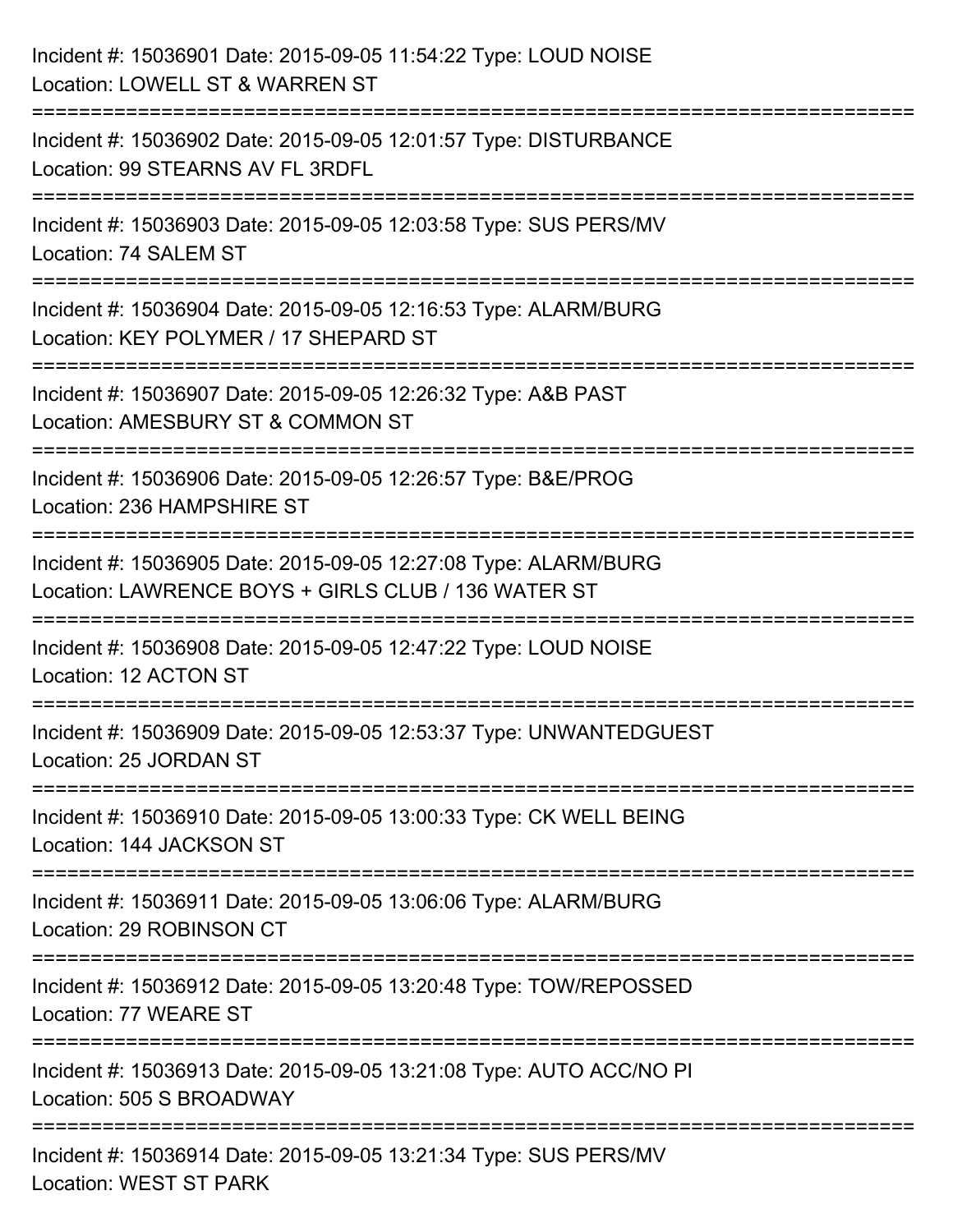| Incident #: 15036901 Date: 2015-09-05 11:54:22 Type: LOUD NOISE<br>Location: LOWELL ST & WARREN ST                                          |
|---------------------------------------------------------------------------------------------------------------------------------------------|
| ========================<br>Incident #: 15036902 Date: 2015-09-05 12:01:57 Type: DISTURBANCE<br>Location: 99 STEARNS AV FL 3RDFL            |
| Incident #: 15036903 Date: 2015-09-05 12:03:58 Type: SUS PERS/MV<br>Location: 74 SALEM ST                                                   |
| Incident #: 15036904 Date: 2015-09-05 12:16:53 Type: ALARM/BURG<br>Location: KEY POLYMER / 17 SHEPARD ST                                    |
| Incident #: 15036907 Date: 2015-09-05 12:26:32 Type: A&B PAST<br>Location: AMESBURY ST & COMMON ST<br>===================================== |
| Incident #: 15036906 Date: 2015-09-05 12:26:57 Type: B&E/PROG<br>Location: 236 HAMPSHIRE ST                                                 |
| Incident #: 15036905 Date: 2015-09-05 12:27:08 Type: ALARM/BURG<br>Location: LAWRENCE BOYS + GIRLS CLUB / 136 WATER ST                      |
| Incident #: 15036908 Date: 2015-09-05 12:47:22 Type: LOUD NOISE<br>Location: 12 ACTON ST                                                    |
| Incident #: 15036909 Date: 2015-09-05 12:53:37 Type: UNWANTEDGUEST<br>Location: 25 JORDAN ST                                                |
| Incident #: 15036910 Date: 2015-09-05 13:00:33 Type: CK WELL BEING<br>Location: 144 JACKSON ST                                              |
| Incident #: 15036911 Date: 2015-09-05 13:06:06 Type: ALARM/BURG<br>Location: 29 ROBINSON CT                                                 |
| Incident #: 15036912 Date: 2015-09-05 13:20:48 Type: TOW/REPOSSED<br>Location: 77 WEARE ST                                                  |
| Incident #: 15036913 Date: 2015-09-05 13:21:08 Type: AUTO ACC/NO PI<br>Location: 505 S BROADWAY                                             |
| Incident #: 15036914 Date: 2015-09-05 13:21:34 Type: SUS PERS/MV<br><b>Location: WEST ST PARK</b>                                           |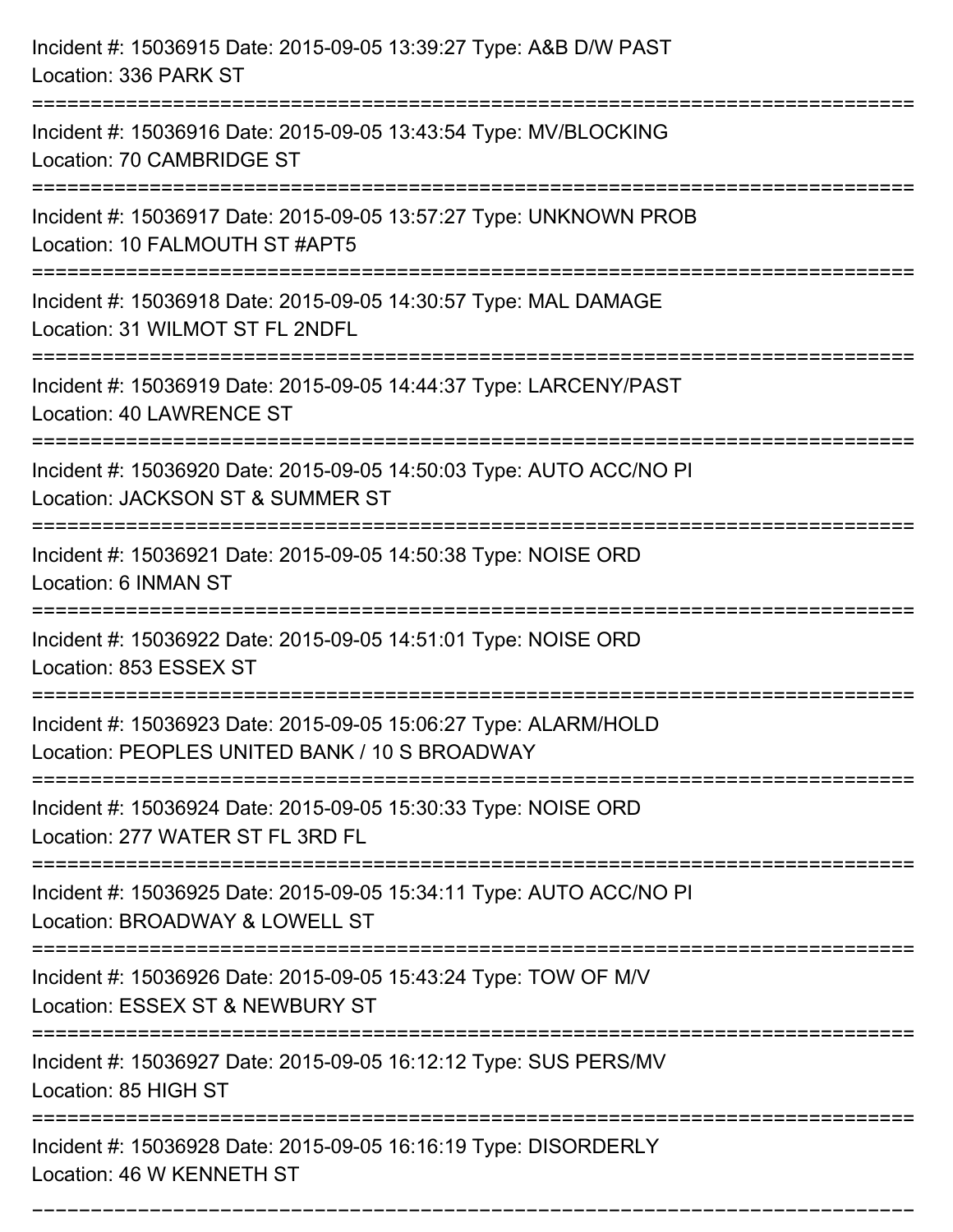| Incident #: 15036915 Date: 2015-09-05 13:39:27 Type: A&B D/W PAST<br>Location: 336 PARK ST                                                           |
|------------------------------------------------------------------------------------------------------------------------------------------------------|
| ===================================<br>Incident #: 15036916 Date: 2015-09-05 13:43:54 Type: MV/BLOCKING<br>Location: 70 CAMBRIDGE ST                 |
| Incident #: 15036917 Date: 2015-09-05 13:57:27 Type: UNKNOWN PROB<br>Location: 10 FALMOUTH ST #APT5                                                  |
| Incident #: 15036918 Date: 2015-09-05 14:30:57 Type: MAL DAMAGE<br>Location: 31 WILMOT ST FL 2NDFL                                                   |
| Incident #: 15036919 Date: 2015-09-05 14:44:37 Type: LARCENY/PAST<br>Location: 40 LAWRENCE ST                                                        |
| Incident #: 15036920 Date: 2015-09-05 14:50:03 Type: AUTO ACC/NO PI<br>Location: JACKSON ST & SUMMER ST<br>:===================                      |
| Incident #: 15036921 Date: 2015-09-05 14:50:38 Type: NOISE ORD<br>Location: 6 INMAN ST                                                               |
| Incident #: 15036922 Date: 2015-09-05 14:51:01 Type: NOISE ORD<br>Location: 853 ESSEX ST                                                             |
| Incident #: 15036923 Date: 2015-09-05 15:06:27 Type: ALARM/HOLD<br>Location: PEOPLES UNITED BANK / 10 S BROADWAY<br>-------------------------------- |
| Incident #: 15036924 Date: 2015-09-05 15:30:33 Type: NOISE ORD<br>Location: 277 WATER ST FL 3RD FL                                                   |
| Incident #: 15036925 Date: 2015-09-05 15:34:11 Type: AUTO ACC/NO PI<br>Location: BROADWAY & LOWELL ST<br>.----------------------------               |
| Incident #: 15036926 Date: 2015-09-05 15:43:24 Type: TOW OF M/V<br>Location: ESSEX ST & NEWBURY ST                                                   |
| Incident #: 15036927 Date: 2015-09-05 16:12:12 Type: SUS PERS/MV<br>Location: 85 HIGH ST                                                             |
| Incident #: 15036928 Date: 2015-09-05 16:16:19 Type: DISORDERLY<br>Location: 46 W KENNETH ST                                                         |

===========================================================================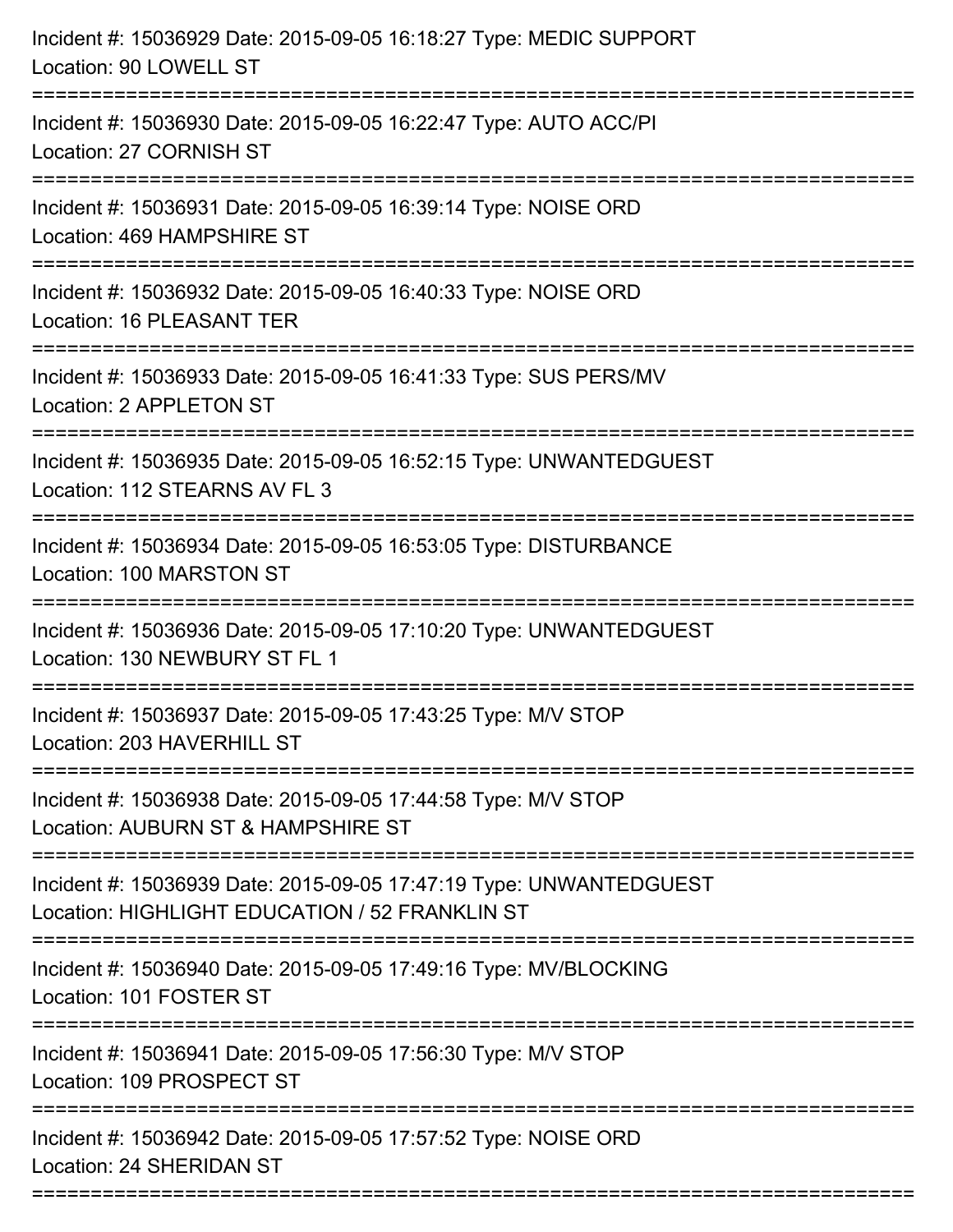| Incident #: 15036929 Date: 2015-09-05 16:18:27 Type: MEDIC SUPPORT<br>Location: 90 LOWELL ST                                     |
|----------------------------------------------------------------------------------------------------------------------------------|
| Incident #: 15036930 Date: 2015-09-05 16:22:47 Type: AUTO ACC/PI<br>Location: 27 CORNISH ST                                      |
| Incident #: 15036931 Date: 2015-09-05 16:39:14 Type: NOISE ORD<br>Location: 469 HAMPSHIRE ST                                     |
| Incident #: 15036932 Date: 2015-09-05 16:40:33 Type: NOISE ORD<br>Location: 16 PLEASANT TER                                      |
| Incident #: 15036933 Date: 2015-09-05 16:41:33 Type: SUS PERS/MV<br>Location: 2 APPLETON ST                                      |
| Incident #: 15036935 Date: 2015-09-05 16:52:15 Type: UNWANTEDGUEST<br>Location: 112 STEARNS AV FL 3                              |
| Incident #: 15036934 Date: 2015-09-05 16:53:05 Type: DISTURBANCE<br>Location: 100 MARSTON ST<br>===================              |
| Incident #: 15036936 Date: 2015-09-05 17:10:20 Type: UNWANTEDGUEST<br>Location: 130 NEWBURY ST FL 1                              |
| Incident #: 15036937 Date: 2015-09-05 17:43:25 Type: M/V STOP<br>Location: 203 HAVERHILL ST<br>=========================         |
| Incident #: 15036938 Date: 2015-09-05 17:44:58 Type: M/V STOP<br>Location: AUBURN ST & HAMPSHIRE ST                              |
| Incident #: 15036939 Date: 2015-09-05 17:47:19 Type: UNWANTEDGUEST<br>Location: HIGHLIGHT EDUCATION / 52 FRANKLIN ST             |
| :================================<br>Incident #: 15036940 Date: 2015-09-05 17:49:16 Type: MV/BLOCKING<br>Location: 101 FOSTER ST |
| Incident #: 15036941 Date: 2015-09-05 17:56:30 Type: M/V STOP<br>Location: 109 PROSPECT ST                                       |
| Incident #: 15036942 Date: 2015-09-05 17:57:52 Type: NOISE ORD<br>Location: 24 SHERIDAN ST                                       |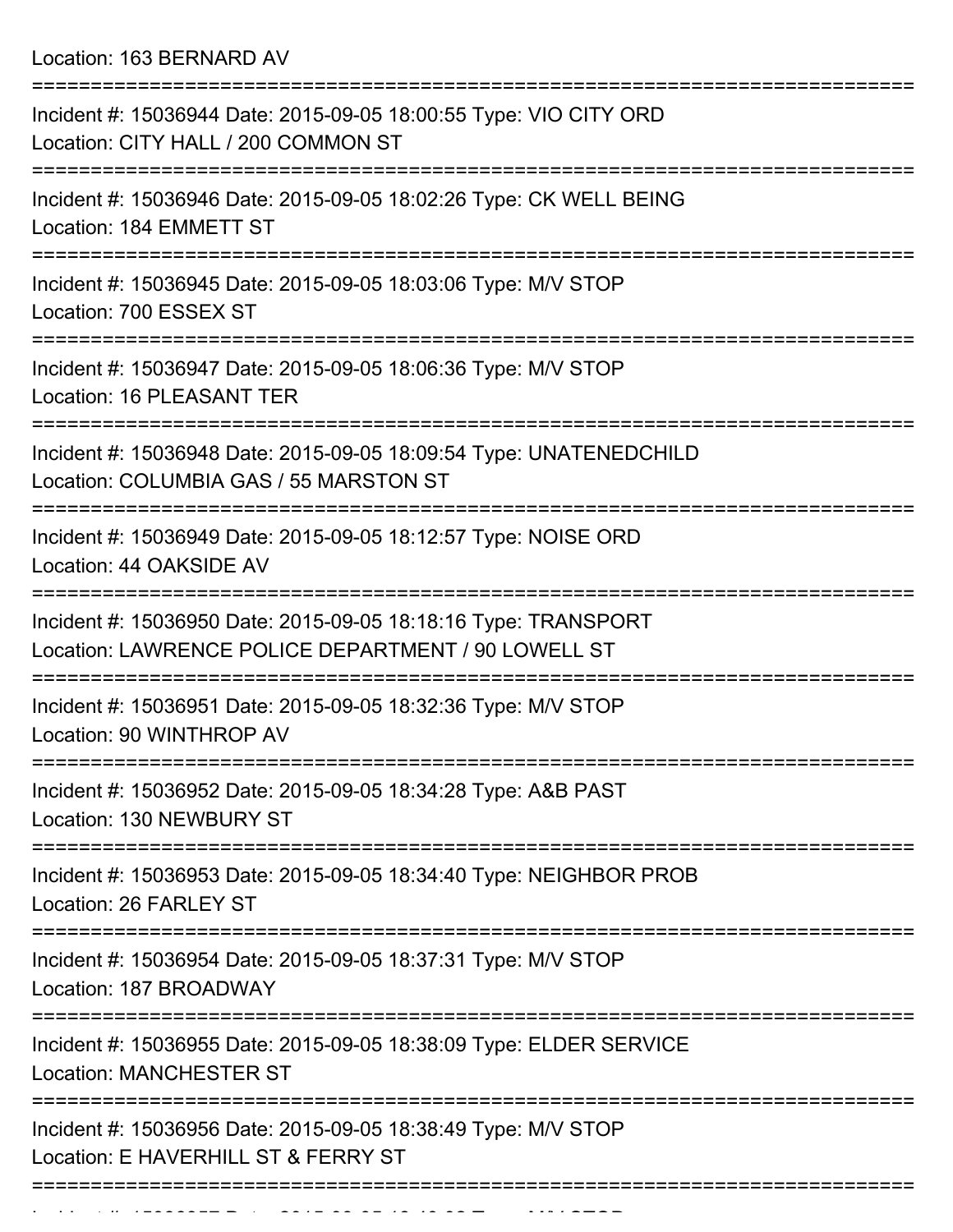Location: 163 BERNARD AV

| Incident #: 15036944 Date: 2015-09-05 18:00:55 Type: VIO CITY ORD<br>Location: CITY HALL / 200 COMMON ST              |
|-----------------------------------------------------------------------------------------------------------------------|
| Incident #: 15036946 Date: 2015-09-05 18:02:26 Type: CK WELL BEING<br>Location: 184 EMMETT ST                         |
| Incident #: 15036945 Date: 2015-09-05 18:03:06 Type: M/V STOP<br>Location: 700 ESSEX ST                               |
| Incident #: 15036947 Date: 2015-09-05 18:06:36 Type: M/V STOP<br>Location: 16 PLEASANT TER                            |
| Incident #: 15036948 Date: 2015-09-05 18:09:54 Type: UNATENEDCHILD<br>Location: COLUMBIA GAS / 55 MARSTON ST          |
| Incident #: 15036949 Date: 2015-09-05 18:12:57 Type: NOISE ORD<br>Location: 44 OAKSIDE AV                             |
| Incident #: 15036950 Date: 2015-09-05 18:18:16 Type: TRANSPORT<br>Location: LAWRENCE POLICE DEPARTMENT / 90 LOWELL ST |
| Incident #: 15036951 Date: 2015-09-05 18:32:36 Type: M/V STOP<br>Location: 90 WINTHROP AV                             |
| Incident #: 15036952 Date: 2015-09-05 18:34:28 Type: A&B PAST<br>Location: 130 NEWBURY ST                             |
| Incident #: 15036953 Date: 2015-09-05 18:34:40 Type: NEIGHBOR PROB<br>Location: 26 FARLEY ST                          |
| Incident #: 15036954 Date: 2015-09-05 18:37:31 Type: M/V STOP<br>Location: 187 BROADWAY                               |
| Incident #: 15036955 Date: 2015-09-05 18:38:09 Type: ELDER SERVICE<br><b>Location: MANCHESTER ST</b>                  |
| Incident #: 15036956 Date: 2015-09-05 18:38:49 Type: M/V STOP<br>Location: E HAVERHILL ST & FERRY ST                  |
|                                                                                                                       |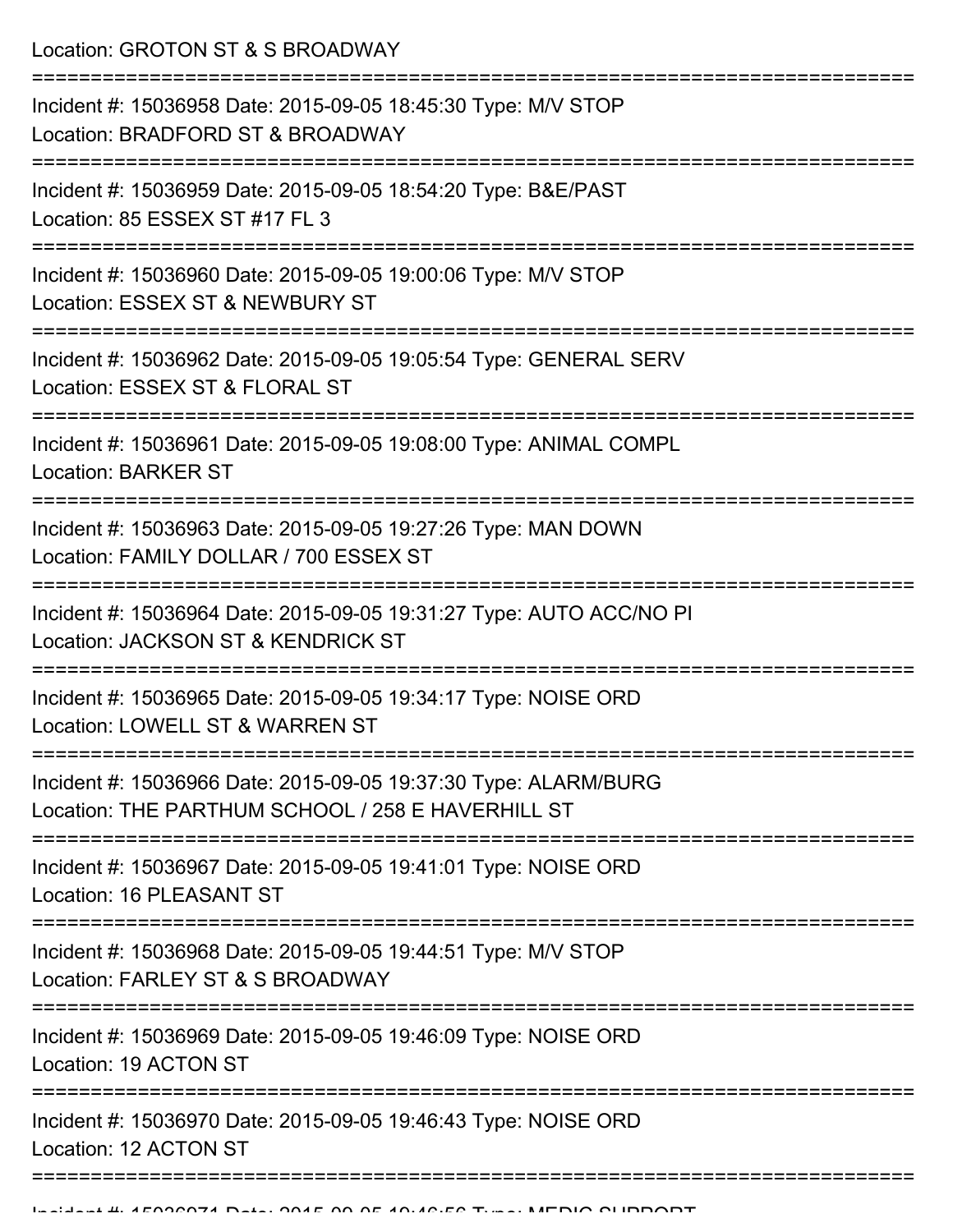Location: GROTON ST & S BROADWAY

| Incident #: 15036958 Date: 2015-09-05 18:45:30 Type: M/V STOP<br>Location: BRADFORD ST & BROADWAY                    |
|----------------------------------------------------------------------------------------------------------------------|
| Incident #: 15036959 Date: 2015-09-05 18:54:20 Type: B&E/PAST<br>Location: 85 ESSEX ST #17 FL 3                      |
| Incident #: 15036960 Date: 2015-09-05 19:00:06 Type: M/V STOP<br>Location: ESSEX ST & NEWBURY ST                     |
| Incident #: 15036962 Date: 2015-09-05 19:05:54 Type: GENERAL SERV<br>Location: ESSEX ST & FLORAL ST                  |
| Incident #: 15036961 Date: 2015-09-05 19:08:00 Type: ANIMAL COMPL<br><b>Location: BARKER ST</b>                      |
| Incident #: 15036963 Date: 2015-09-05 19:27:26 Type: MAN DOWN<br>Location: FAMILY DOLLAR / 700 ESSEX ST              |
| Incident #: 15036964 Date: 2015-09-05 19:31:27 Type: AUTO ACC/NO PI<br>Location: JACKSON ST & KENDRICK ST            |
| Incident #: 15036965 Date: 2015-09-05 19:34:17 Type: NOISE ORD<br>Location: LOWELL ST & WARREN ST                    |
| Incident #: 15036966 Date: 2015-09-05 19:37:30 Type: ALARM/BURG<br>Location: THE PARTHUM SCHOOL / 258 E HAVERHILL ST |
| Incident #: 15036967 Date: 2015-09-05 19:41:01 Type: NOISE ORD<br>Location: 16 PLEASANT ST                           |
| Incident #: 15036968 Date: 2015-09-05 19:44:51 Type: M/V STOP<br>Location: FARLEY ST & S BROADWAY                    |
| Incident #: 15036969 Date: 2015-09-05 19:46:09 Type: NOISE ORD<br>Location: 19 ACTON ST                              |
| Incident #: 15036970 Date: 2015-09-05 19:46:43 Type: NOISE ORD<br>Location: 12 ACTON ST                              |
|                                                                                                                      |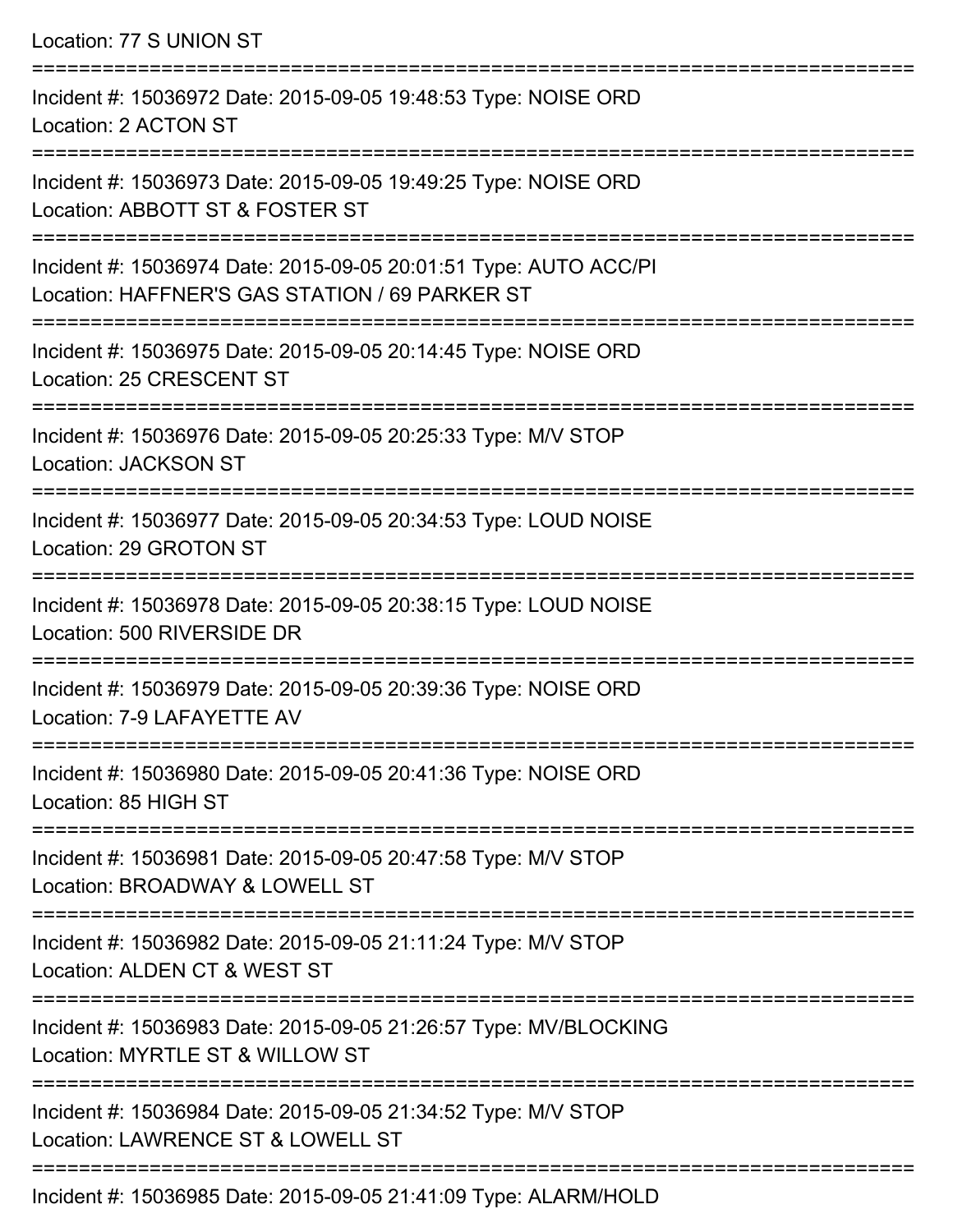Location: 77 S UNION ST =========================================================================== Incident #: 15036972 Date: 2015-09-05 19:48:53 Type: NOISE ORD Location: 2 ACTON ST =========================================================================== Incident #: 15036973 Date: 2015-09-05 19:49:25 Type: NOISE ORD Location: ABBOTT ST & FOSTER ST =========================================================================== Incident #: 15036974 Date: 2015-09-05 20:01:51 Type: AUTO ACC/PI Location: HAFFNER'S GAS STATION / 69 PARKER ST =========================================================================== Incident #: 15036975 Date: 2015-09-05 20:14:45 Type: NOISE ORD Location: 25 CRESCENT ST =========================================================================== Incident #: 15036976 Date: 2015-09-05 20:25:33 Type: M/V STOP Location: JACKSON ST =========================================================================== Incident #: 15036977 Date: 2015-09-05 20:34:53 Type: LOUD NOISE Location: 29 GROTON ST =========================================================================== Incident #: 15036978 Date: 2015-09-05 20:38:15 Type: LOUD NOISE Location: 500 RIVERSIDE DR =========================================================================== Incident #: 15036979 Date: 2015-09-05 20:39:36 Type: NOISE ORD Location: 7-9 LAFAYETTE AV =========================================================================== Incident #: 15036980 Date: 2015-09-05 20:41:36 Type: NOISE ORD Location: 85 HIGH ST =========================================================================== Incident #: 15036981 Date: 2015-09-05 20:47:58 Type: M/V STOP Location: BROADWAY & LOWELL ST =========================================================================== Incident #: 15036982 Date: 2015-09-05 21:11:24 Type: M/V STOP Location: ALDEN CT & WEST ST =========================================================================== Incident #: 15036983 Date: 2015-09-05 21:26:57 Type: MV/BLOCKING Location: MYRTLE ST & WILLOW ST =========================================================================== Incident #: 15036984 Date: 2015-09-05 21:34:52 Type: M/V STOP Location: LAWRENCE ST & LOWELL ST ===========================================================================

Incident #: 15036985 Date: 2015-09-05 21:41:09 Type: ALARM/HOLD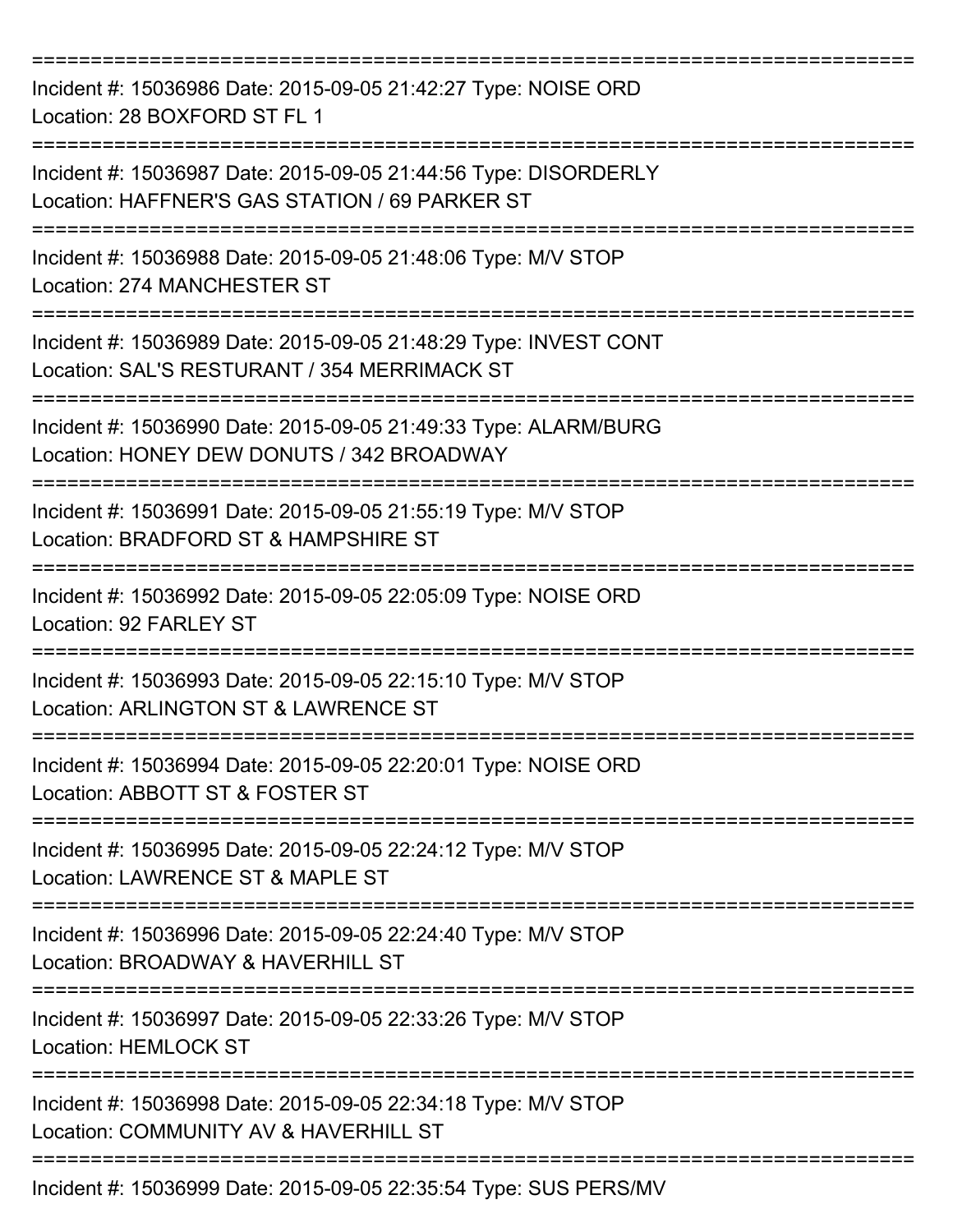| Incident #: 15036986 Date: 2015-09-05 21:42:27 Type: NOISE ORD<br>Location: 28 BOXFORD ST FL 1                    |
|-------------------------------------------------------------------------------------------------------------------|
| Incident #: 15036987 Date: 2015-09-05 21:44:56 Type: DISORDERLY<br>Location: HAFFNER'S GAS STATION / 69 PARKER ST |
| Incident #: 15036988 Date: 2015-09-05 21:48:06 Type: M/V STOP<br>Location: 274 MANCHESTER ST                      |
| Incident #: 15036989 Date: 2015-09-05 21:48:29 Type: INVEST CONT<br>Location: SAL'S RESTURANT / 354 MERRIMACK ST  |
| Incident #: 15036990 Date: 2015-09-05 21:49:33 Type: ALARM/BURG<br>Location: HONEY DEW DONUTS / 342 BROADWAY      |
| Incident #: 15036991 Date: 2015-09-05 21:55:19 Type: M/V STOP<br>Location: BRADFORD ST & HAMPSHIRE ST             |
| Incident #: 15036992 Date: 2015-09-05 22:05:09 Type: NOISE ORD<br>Location: 92 FARLEY ST                          |
| Incident #: 15036993 Date: 2015-09-05 22:15:10 Type: M/V STOP<br>Location: ARLINGTON ST & LAWRENCE ST             |
| Incident #: 15036994 Date: 2015-09-05 22:20:01 Type: NOISE ORD<br>Location: ABBOTT ST & FOSTER ST                 |
| Incident #: 15036995 Date: 2015-09-05 22:24:12 Type: M/V STOP<br>Location: LAWRENCE ST & MAPLE ST                 |
| Incident #: 15036996 Date: 2015-09-05 22:24:40 Type: M/V STOP<br>Location: BROADWAY & HAVERHILL ST                |
| Incident #: 15036997 Date: 2015-09-05 22:33:26 Type: M/V STOP<br><b>Location: HEMLOCK ST</b>                      |
| Incident #: 15036998 Date: 2015-09-05 22:34:18 Type: M/V STOP<br>Location: COMMUNITY AV & HAVERHILL ST            |
| Incident #: 15036999 Date: 2015-09-05 22:35:54 Type: SUS PERS/MV                                                  |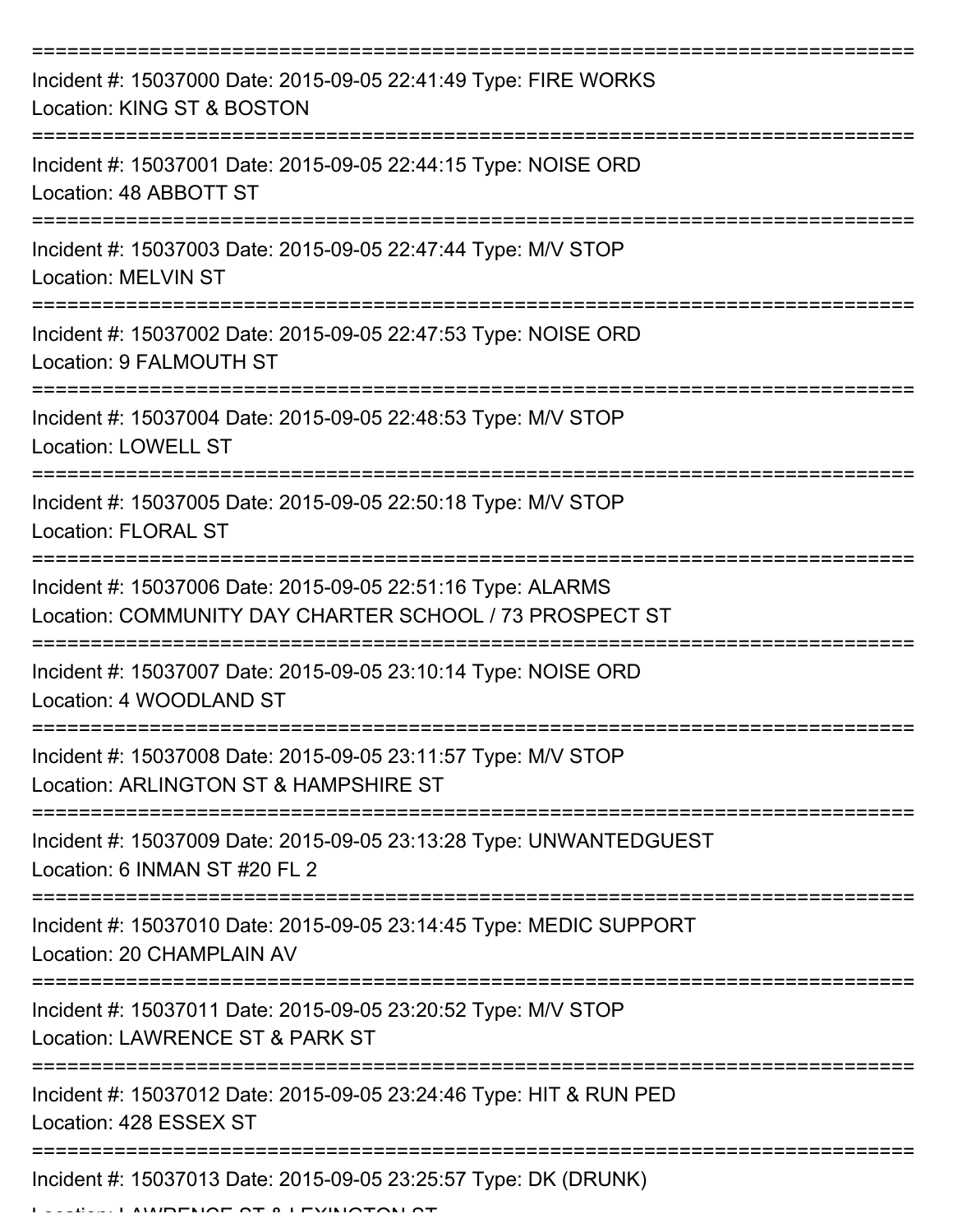| Incident #: 15037000 Date: 2015-09-05 22:41:49 Type: FIRE WORKS<br>Location: KING ST & BOSTON                          |
|------------------------------------------------------------------------------------------------------------------------|
| Incident #: 15037001 Date: 2015-09-05 22:44:15 Type: NOISE ORD<br>Location: 48 ABBOTT ST                               |
| Incident #: 15037003 Date: 2015-09-05 22:47:44 Type: M/V STOP<br><b>Location: MELVIN ST</b>                            |
| Incident #: 15037002 Date: 2015-09-05 22:47:53 Type: NOISE ORD<br>Location: 9 FALMOUTH ST                              |
| Incident #: 15037004 Date: 2015-09-05 22:48:53 Type: M/V STOP<br><b>Location: LOWELL ST</b>                            |
| Incident #: 15037005 Date: 2015-09-05 22:50:18 Type: M/V STOP<br><b>Location: FLORAL ST</b>                            |
| Incident #: 15037006 Date: 2015-09-05 22:51:16 Type: ALARMS<br>Location: COMMUNITY DAY CHARTER SCHOOL / 73 PROSPECT ST |
| Incident #: 15037007 Date: 2015-09-05 23:10:14 Type: NOISE ORD<br>Location: 4 WOODLAND ST                              |
| Incident #: 15037008 Date: 2015-09-05 23:11:57 Type: M/V STOP<br>Location: ARLINGTON ST & HAMPSHIRE ST                 |
| Incident #: 15037009 Date: 2015-09-05 23:13:28 Type: UNWANTEDGUEST<br>Location: 6 INMAN ST #20 FL 2                    |
| Incident #: 15037010 Date: 2015-09-05 23:14:45 Type: MEDIC SUPPORT<br>Location: 20 CHAMPLAIN AV                        |
| Incident #: 15037011 Date: 2015-09-05 23:20:52 Type: M/V STOP<br>Location: LAWRENCE ST & PARK ST                       |
| Incident #: 15037012 Date: 2015-09-05 23:24:46 Type: HIT & RUN PED<br>Location: 428 ESSEX ST                           |
| Incident #: 15037013 Date: 2015-09-05 23:25:57 Type: DK (DRUNK)                                                        |